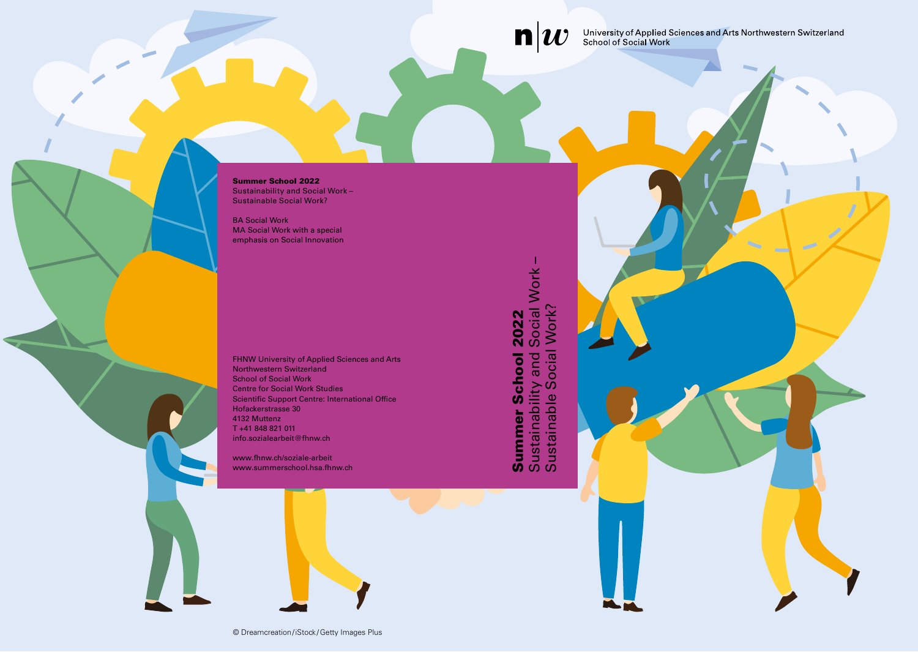$\mathbf{n}|w$ 

University of Applied Sciences and Arts Northwestern Switzerland<br>School of Social Work

Summer School 2022 Sustainability and Social Work – Sustainable Social Work?

BA Social Work MA Social Work with a special emphasis on Social Innovation

FHNW University of Applied Sciences and Arts Northwestern Switzerland School of Social Work Centre for Social Work Studies Scientific Support Centre: International Office Hofackerstrasse 30 4132 Muttenz T +41 848 821 011 info.sozialearbeit@fhnw.ch

www.fhnw.ch/soziale-arbeit www.summerschool.hsa.fhnw.ch

Sustainability and Social Work – **Summer School 2022**<br>Sustainability and Social Work<br>Sustainable Social Work? Sustainable Social Work? Summer School 2022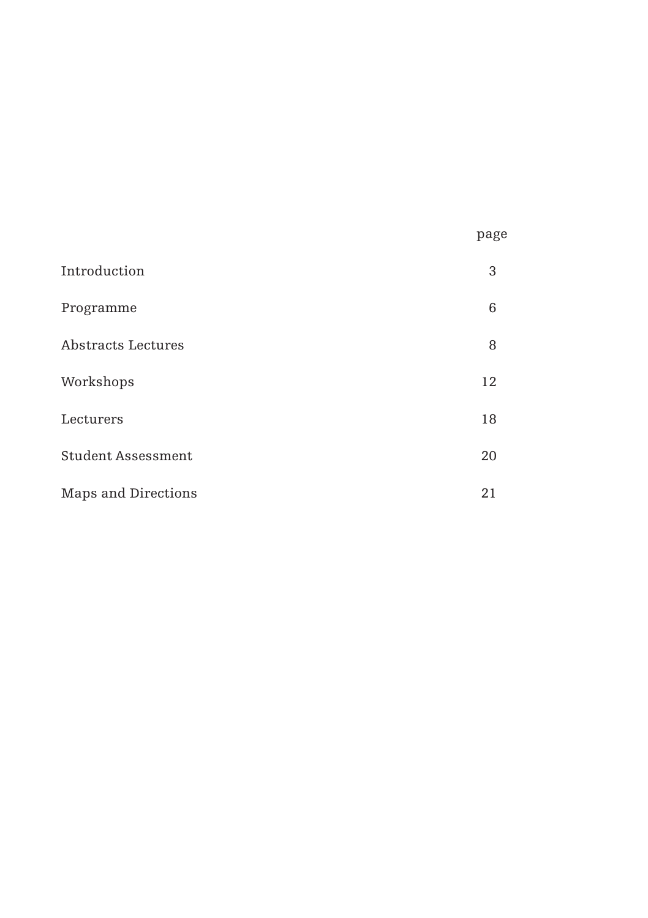|                     | page |
|---------------------|------|
| Introduction        | 3    |
| Programme           | 6    |
| Abstracts Lectures  | 8    |
| Workshops           | 12   |
| Lecturers           | 18   |
| Student Assessment  | 20   |
| Maps and Directions | 21   |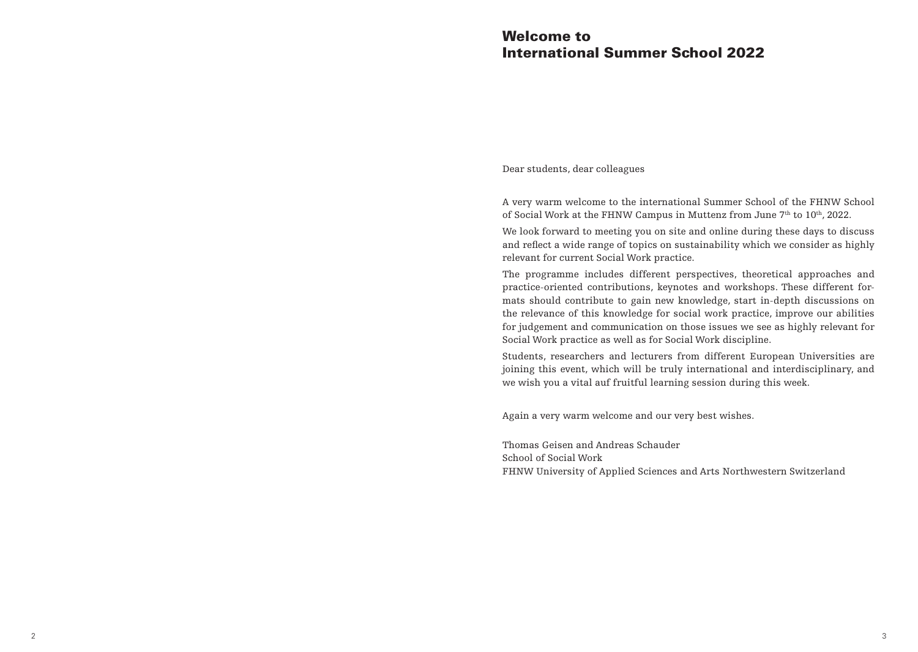# Welcome to International Summer School 2022

Dear students, dear colleagues

A very warm welcome to the international Summer School of the FHNW School of Social Work at the FHNW Campus in Muttenz from June  $7<sup>th</sup>$  to 10<sup>th</sup>, 2022.

We look forward to meeting you on site and online during these days to discuss and reflect a wide range of topics on sustainability which we consider as highly relevant for current Social Work practice.

The programme includes different perspectives, theoretical approaches and practice-oriented contributions, keynotes and workshops. These different formats should contribute to gain new knowledge, start in-depth discussions on the relevance of this knowledge for social work practice, improve our abilities for judgement and communication on those issues we see as highly relevant for Social Work practice as well as for Social Work discipline.

Students, researchers and lecturers from different European Universities are joining this event, which will be truly international and interdisciplinary, and we wish you a vital auf fruitful learning session during this week.

Again a very warm welcome and our very best wishes.

Thomas Geisen and Andreas Schauder School of Social Work FHNW University of Applied Sciences and Arts Northwestern Switzerland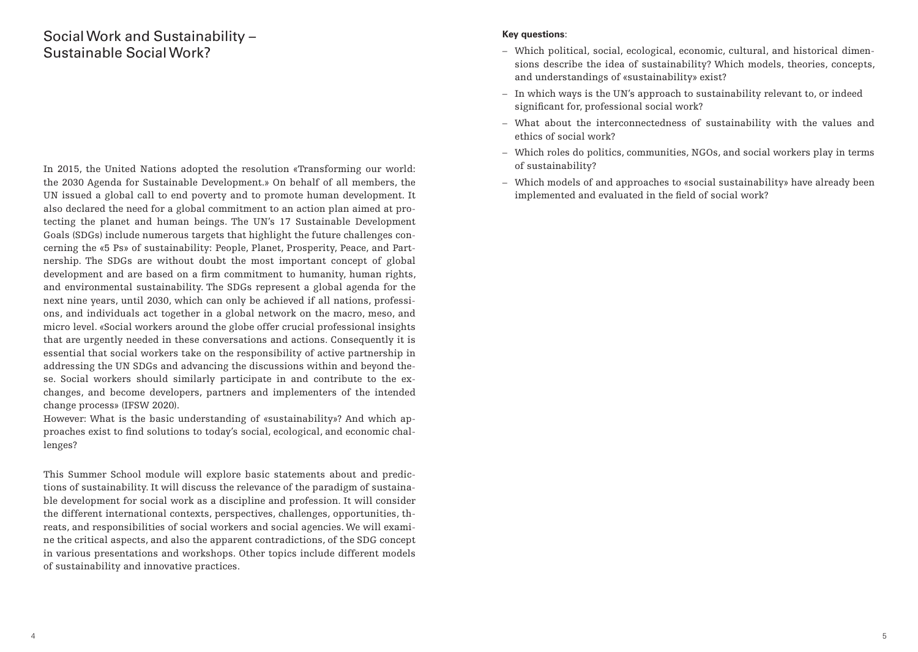# Social Work and Sustainability – Sustainable Social Work?

In 2015, the United Nations adopted the resolution «Transforming our world: the 2030 Agenda for Sustainable Development.» On behalf of all members, the UN issued a global call to end poverty and to promote human development. It also declared the need for a global commitment to an action plan aimed at protecting the planet and human beings. The UN's 17 Sustainable Development Goals (SDGs) include numerous targets that highlight the future challenges concerning the «5 Ps» of sustainability: People, Planet, Prosperity, Peace, and Partnership. The SDGs are without doubt the most important concept of global development and are based on a firm commitment to humanity, human rights, and environmental sustainability. The SDGs represent a global agenda for the next nine years, until 2030, which can only be achieved if all nations, professions, and individuals act together in a global network on the macro, meso, and micro level. «Social workers around the globe offer crucial professional insights that are urgently needed in these conversations and actions. Consequently it is essential that social workers take on the responsibility of active partnership in addressing the UN SDGs and advancing the discussions within and beyond these. Social workers should similarly participate in and contribute to the exchanges, and become developers, partners and implementers of the intended change process» (IFSW 2020).

However: What is the basic understanding of «sustainability»? And which approaches exist to find solutions to today's social, ecological, and economic challenges?

This Summer School module will explore basic statements about and predictions of sustainability. It will discuss the relevance of the paradigm of sustainable development for social work as a discipline and profession. It will consider the different international contexts, perspectives, challenges, opportunities, threats, and responsibilities of social workers and social agencies. We will examine the critical aspects, and also the apparent contradictions, of the SDG concept in various presentations and workshops. Other topics include different models of sustainability and innovative practices.

## **Key questions**:

- Which political, social, ecological, economic, cultural, and historical dimensions describe the idea of sustainability? Which models, theories, concepts, and understandings of «sustainability» exist?
- In which ways is the UN's approach to sustainability relevant to, or indeed significant for, professional social work?
- What about the interconnectedness of sustainability with the values and ethics of social work?
- Which roles do politics, communities, NGOs, and social workers play in terms of sustainability?
- Which models of and approaches to «social sustainability» have already been implemented and evaluated in the field of social work?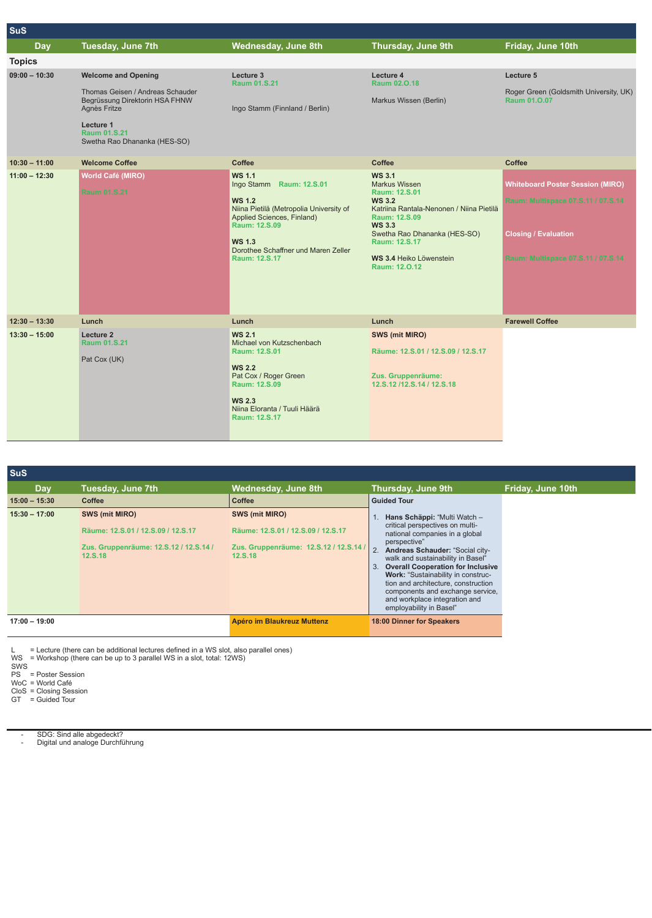| Tuesday, June 7th                                                                                                                                                             | Wednesday, June 8th                                                                                                                                                                                                           | <b>Thursday, June 9th</b>                                                                                                                                                                                                                                 | Friday, June 10th                                                                                                                                  |
|-------------------------------------------------------------------------------------------------------------------------------------------------------------------------------|-------------------------------------------------------------------------------------------------------------------------------------------------------------------------------------------------------------------------------|-----------------------------------------------------------------------------------------------------------------------------------------------------------------------------------------------------------------------------------------------------------|----------------------------------------------------------------------------------------------------------------------------------------------------|
|                                                                                                                                                                               |                                                                                                                                                                                                                               |                                                                                                                                                                                                                                                           |                                                                                                                                                    |
| <b>Welcome and Opening</b><br>Thomas Geisen / Andreas Schauder<br>Begrüssung Direktorin HSA FHNW<br>Agnès Fritze<br>Lecture 1<br>Raum 01.S.21<br>Swetha Rao Dhananka (HES-SO) | Lecture 3<br>Raum 01.S.21<br>Ingo Stamm (Finnland / Berlin)                                                                                                                                                                   | Lecture 4<br>Raum 02.0.18<br>Markus Wissen (Berlin)                                                                                                                                                                                                       | Lecture 5<br>Roger Green (Goldsmith University, UK)<br>Raum 01.0.07                                                                                |
| <b>Welcome Coffee</b>                                                                                                                                                         | Coffee                                                                                                                                                                                                                        | Coffee                                                                                                                                                                                                                                                    | Coffee                                                                                                                                             |
| World Café (MIRO)<br><b>Raum 01.S.21</b>                                                                                                                                      | <b>WS 1.1</b><br>Ingo Stamm Raum: 12.S.01<br><b>WS 1.2</b><br>Niina Pietilä (Metropolia University of<br>Applied Sciences, Finland)<br>Raum: 12.S.09<br><b>WS 1.3</b><br>Dorothee Schaffner und Maren Zeller<br>Raum: 12.S.17 | <b>WS 3.1</b><br><b>Markus Wissen</b><br>Raum: 12.S.01<br><b>WS 3.2</b><br>Katriina Rantala-Nenonen / Niina Pietilä<br>Raum: 12.S.09<br><b>WS 3.3</b><br>Swetha Rao Dhananka (HES-SO)<br>Raum: 12.S.17<br><b>WS 3.4 Heiko Löwenstein</b><br>Raum: 12.0.12 | <b>Whiteboard Poster Session (MIRO)</b><br>Raum: Multispace 07.S.11 / 07.S.14<br><b>Closing / Evaluation</b><br>Raum: Multispace 07.S.11 / 07.S.14 |
| Lunch                                                                                                                                                                         | Lunch                                                                                                                                                                                                                         | Lunch                                                                                                                                                                                                                                                     | <b>Farewell Coffee</b>                                                                                                                             |
| Lecture 2<br><b>Raum 01.S.21</b><br>Pat Cox (UK)                                                                                                                              | <b>WS 2.1</b><br>Michael von Kutzschenbach<br>Raum: 12.S.01<br><b>WS 2.2</b><br>Pat Cox / Roger Green<br>Raum: 12.S.09<br><b>WS 2.3</b><br>Niina Eloranta / Tuuli Häärä<br>Raum: 12.S.17                                      | <b>SWS (mit MIRO)</b><br>Räume: 12.S.01 / 12.S.09 / 12.S.17<br>Zus. Gruppenräume:<br>12.S.12/12.S.14/12.S.18                                                                                                                                              |                                                                                                                                                    |
|                                                                                                                                                                               |                                                                                                                                                                                                                               |                                                                                                                                                                                                                                                           |                                                                                                                                                    |

| <b>SuS</b>      |                                                                                                           |                                                                                                           |                                                                                                                                                                                                                                                                                                                                                                                                                                      |                   |
|-----------------|-----------------------------------------------------------------------------------------------------------|-----------------------------------------------------------------------------------------------------------|--------------------------------------------------------------------------------------------------------------------------------------------------------------------------------------------------------------------------------------------------------------------------------------------------------------------------------------------------------------------------------------------------------------------------------------|-------------------|
| Day             | <b>Tuesday, June 7th</b>                                                                                  | <b>Wednesday, June 8th</b>                                                                                | Thursday, June 9th                                                                                                                                                                                                                                                                                                                                                                                                                   | Friday, June 10th |
| $15:00 - 15:30$ | Coffee                                                                                                    | Coffee                                                                                                    | <b>Guided Tour</b>                                                                                                                                                                                                                                                                                                                                                                                                                   |                   |
| $15:30 - 17:00$ | SWS (mit MIRO)<br>Räume: 12.S.01 / 12.S.09 / 12.S.17<br>Zus. Gruppenräume: 12.S.12 / 12.S.14 /<br>12.S.18 | SWS (mit MIRO)<br>Räume: 12.S.01 / 12.S.09 / 12.S.17<br>Zus. Gruppenräume: 12.S.12 / 12.S.14 /<br>12.S.18 | Hans Schäppi: "Multi Watch -<br>critical perspectives on multi-<br>national companies in a global<br>perspective"<br>$\overline{2}$<br>Andreas Schauder: "Social city-<br>walk and sustainability in Basel"<br><b>Overall Cooperation for Inclusive</b><br>Work: "Sustainability in construc-<br>tion and architecture, construction<br>components and exchange service,<br>and workplace integration and<br>employability in Basel" |                   |
| $17:00 - 19:00$ |                                                                                                           | Apéro im Blaukreuz Muttenz                                                                                | 18:00 Dinner for Speakers                                                                                                                                                                                                                                                                                                                                                                                                            |                   |

Lecture (there can be additional lectures defined in a WS slot, also parallel ones)<br>WS = Workshop (there can be up to 3 parallel WS in a slot, total: 12WS)<br>SWS<br>PS = Poster Session<br>WoC = World Café<br>CIT = Guided Tour

--SDG: Sind alle abgedeckt? Digital und analoge Durchführung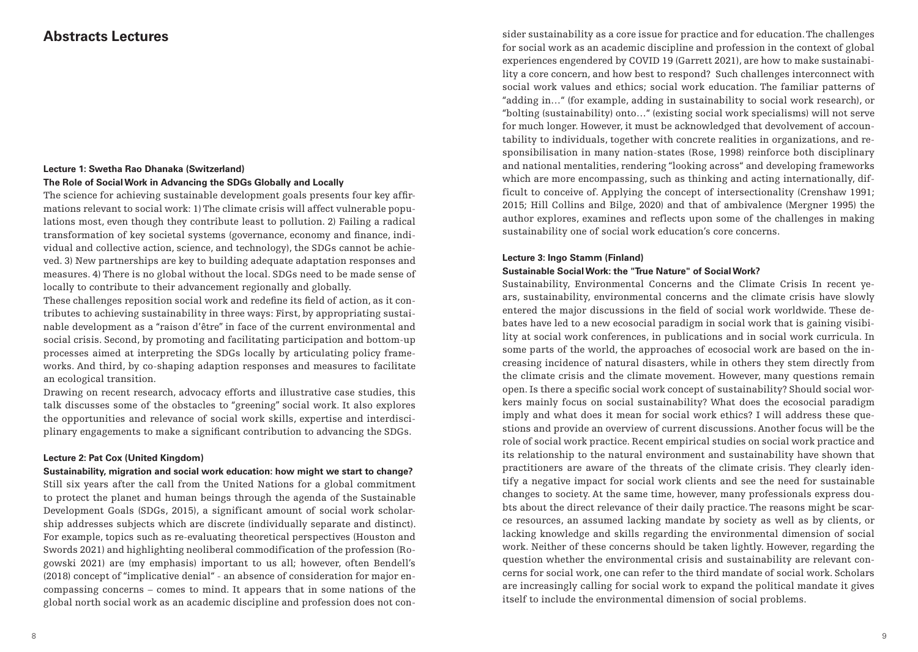## **Abstracts Lectures**

## **Lecture 1: Swetha Rao Dhanaka (Switzerland) The Role of Social Work in Advancing the SDGs Globally and Locally**

The science for achieving sustainable development goals presents four key affirmations relevant to social work: 1) The climate crisis will affect vulnerable populations most, even though they contribute least to pollution. 2) Failing a radical transformation of key societal systems (governance, economy and finance, individual and collective action, science, and technology), the SDGs cannot be achieved. 3) New partnerships are key to building adequate adaptation responses and measures. 4) There is no global without the local. SDGs need to be made sense of locally to contribute to their advancement regionally and globally.

These challenges reposition social work and redefine its field of action, as it contributes to achieving sustainability in three ways: First, by appropriating sustainable development as a "raison d'être" in face of the current environmental and social crisis. Second, by promoting and facilitating participation and bottom-up processes aimed at interpreting the SDGs locally by articulating policy frameworks. And third, by co-shaping adaption responses and measures to facilitate an ecological transition.

Drawing on recent research, advocacy efforts and illustrative case studies, this talk discusses some of the obstacles to "greening" social work. It also explores the opportunities and relevance of social work skills, expertise and interdisciplinary engagements to make a significant contribution to advancing the SDGs.

## **Lecture 2: Pat Cox (United Kingdom)**

**Sustainability, migration and social work education: how might we start to change?**  Still six years after the call from the United Nations for a global commitment to protect the planet and human beings through the agenda of the Sustainable Development Goals (SDGs, 2015), a significant amount of social work scholarship addresses subjects which are discrete (individually separate and distinct). For example, topics such as re-evaluating theoretical perspectives (Houston and Swords 2021) and highlighting neoliberal commodification of the profession (Rogowski 2021) are (my emphasis) important to us all; however, often Bendell's (2018) concept of "implicative denial" - an absence of consideration for major encompassing concerns – comes to mind. It appears that in some nations of the global north social work as an academic discipline and profession does not consider sustainability as a core issue for practice and for education. The challenges for social work as an academic discipline and profession in the context of global experiences engendered by COVID 19 (Garrett 2021), are how to make sustainability a core concern, and how best to respond? Such challenges interconnect with social work values and ethics; social work education. The familiar patterns of "adding in…" (for example, adding in sustainability to social work research), or "bolting (sustainability) onto…" (existing social work specialisms) will not serve for much longer. However, it must be acknowledged that devolvement of accountability to individuals, together with concrete realities in organizations, and responsibilisation in many nation-states (Rose, 1998) reinforce both disciplinary and national mentalities, rendering "looking across" and developing frameworks which are more encompassing, such as thinking and acting internationally, difficult to conceive of. Applying the concept of intersectionality (Crenshaw 1991; 2015; Hill Collins and Bilge, 2020) and that of ambivalence (Mergner 1995) the author explores, examines and reflects upon some of the challenges in making sustainability one of social work education's core concerns.

## **Lecture 3: Ingo Stamm (Finland)**

### **Sustainable Social Work: the "True Nature" of Social Work?**

Sustainability, Environmental Concerns and the Climate Crisis In recent years, sustainability, environmental concerns and the climate crisis have slowly entered the major discussions in the field of social work worldwide. These debates have led to a new ecosocial paradigm in social work that is gaining visibility at social work conferences, in publications and in social work curricula. In some parts of the world, the approaches of ecosocial work are based on the increasing incidence of natural disasters, while in others they stem directly from the climate crisis and the climate movement. However, many questions remain open. Is there a specific social work concept of sustainability? Should social workers mainly focus on social sustainability? What does the ecosocial paradigm imply and what does it mean for social work ethics? I will address these questions and provide an overview of current discussions. Another focus will be the role of social work practice. Recent empirical studies on social work practice and its relationship to the natural environment and sustainability have shown that practitioners are aware of the threats of the climate crisis. They clearly identify a negative impact for social work clients and see the need for sustainable changes to society. At the same time, however, many professionals express doubts about the direct relevance of their daily practice. The reasons might be scarce resources, an assumed lacking mandate by society as well as by clients, or lacking knowledge and skills regarding the environmental dimension of social work. Neither of these concerns should be taken lightly. However, regarding the question whether the environmental crisis and sustainability are relevant concerns for social work, one can refer to the third mandate of social work. Scholars are increasingly calling for social work to expand the political mandate it gives itself to include the environmental dimension of social problems.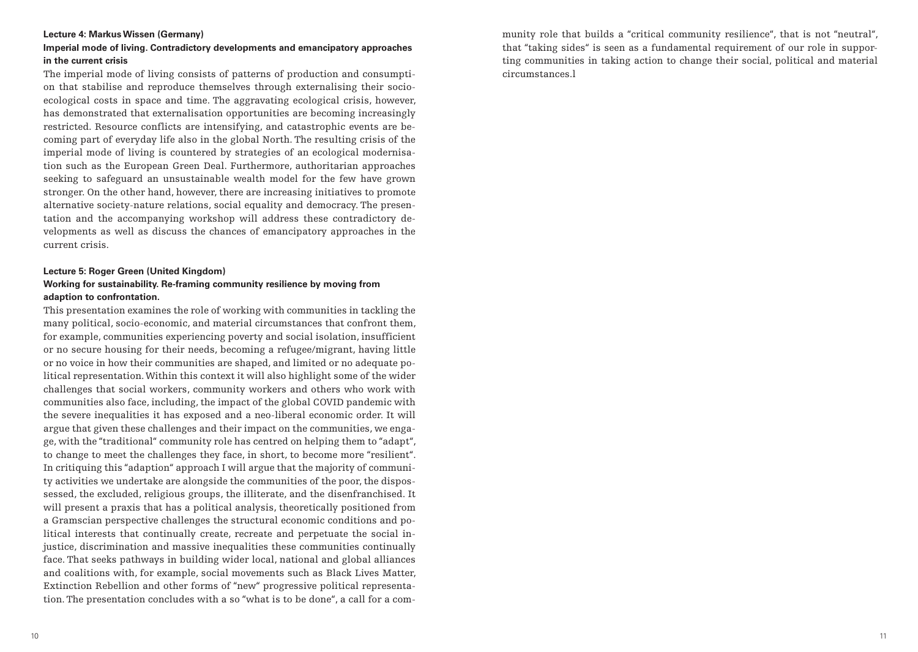### **Lecture 4: Markus Wissen (Germany)**

## **Imperial mode of living. Contradictory developments and emancipatory approaches in the current crisis**

The imperial mode of living consists of patterns of production and consumption that stabilise and reproduce themselves through externalising their socioecological costs in space and time. The aggravating ecological crisis, however, has demonstrated that externalisation opportunities are becoming increasingly restricted. Resource conflicts are intensifying, and catastrophic events are becoming part of everyday life also in the global North. The resulting crisis of the imperial mode of living is countered by strategies of an ecological modernisation such as the European Green Deal. Furthermore, authoritarian approaches seeking to safeguard an unsustainable wealth model for the few have grown stronger. On the other hand, however, there are increasing initiatives to promote alternative society-nature relations, social equality and democracy. The presentation and the accompanying workshop will address these contradictory developments as well as discuss the chances of emancipatory approaches in the current crisis.

## **Lecture 5: Roger Green (United Kingdom) Working for sustainability. Re-framing community resilience by moving from**

### **adaption to confrontation.**

This presentation examines the role of working with communities in tackling the many political, socio-economic, and material circumstances that confront them, for example, communities experiencing poverty and social isolation, insufficient or no secure housing for their needs, becoming a refugee/migrant, having little or no voice in how their communities are shaped, and limited or no adequate political representation. Within this context it will also highlight some of the wider challenges that social workers, community workers and others who work with communities also face, including, the impact of the global COVID pandemic with the severe inequalities it has exposed and a neo-liberal economic order. It will argue that given these challenges and their impact on the communities, we engage, with the "traditional" community role has centred on helping them to "adapt", to change to meet the challenges they face, in short, to become more "resilient". In critiquing this "adaption" approach I will argue that the majority of community activities we undertake are alongside the communities of the poor, the dispossessed, the excluded, religious groups, the illiterate, and the disenfranchised. It will present a praxis that has a political analysis, theoretically positioned from a Gramscian perspective challenges the structural economic conditions and political interests that continually create, recreate and perpetuate the social injustice, discrimination and massive inequalities these communities continually face. That seeks pathways in building wider local, national and global alliances and coalitions with, for example, social movements such as Black Lives Matter, Extinction Rebellion and other forms of "new" progressive political representation. The presentation concludes with a so "what is to be done", a call for a community role that builds a "critical community resilience", that is not "neutral", that "taking sides" is seen as a fundamental requirement of our role in supporting communities in taking action to change their social, political and material circumstances.l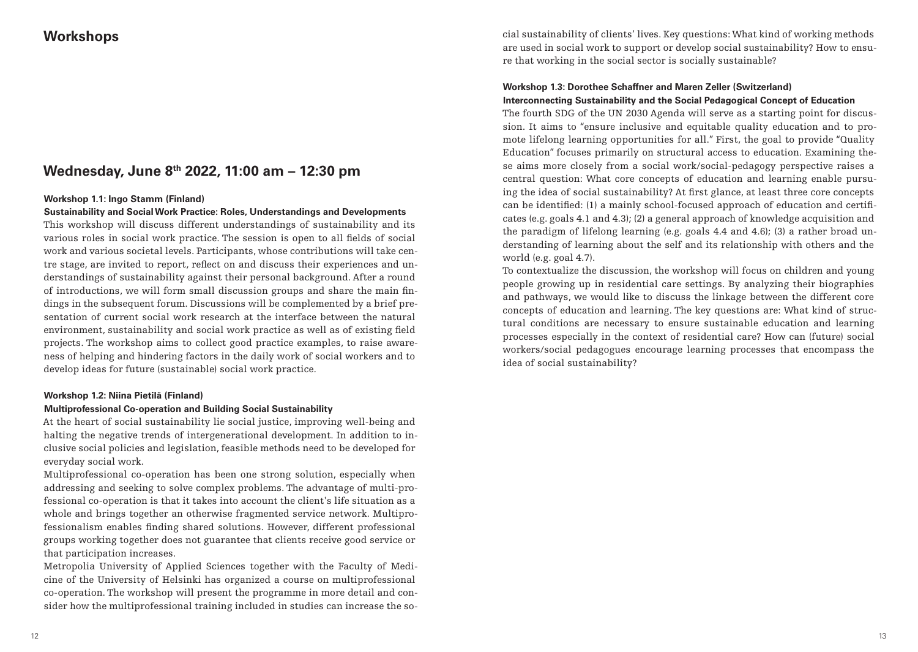## **Workshops**

## **Wednesday, June 8th 2022, 11:00 am – 12:30 pm**

## **Workshop 1.1: Ingo Stamm (Finland)**

## **Sustainability and Social Work Practice: Roles, Understandings and Developments**

This workshop will discuss different understandings of sustainability and its various roles in social work practice. The session is open to all fields of social work and various societal levels. Participants, whose contributions will take centre stage, are invited to report, reflect on and discuss their experiences and understandings of sustainability against their personal background. After a round of introductions, we will form small discussion groups and share the main findings in the subsequent forum. Discussions will be complemented by a brief presentation of current social work research at the interface between the natural environment, sustainability and social work practice as well as of existing field projects. The workshop aims to collect good practice examples, to raise awareness of helping and hindering factors in the daily work of social workers and to develop ideas for future (sustainable) social work practice.

#### **Workshop 1.2: Niina Pietilä (Finland)**

## **Multiprofessional Co-operation and Building Social Sustainability**

At the heart of social sustainability lie social justice, improving well-being and halting the negative trends of intergenerational development. In addition to inclusive social policies and legislation, feasible methods need to be developed for everyday social work.

Multiprofessional co-operation has been one strong solution, especially when addressing and seeking to solve complex problems. The advantage of multi-professional co-operation is that it takes into account the client's life situation as a whole and brings together an otherwise fragmented service network. Multiprofessionalism enables finding shared solutions. However, different professional groups working together does not guarantee that clients receive good service or that participation increases.

Metropolia University of Applied Sciences together with the Faculty of Medicine of the University of Helsinki has organized a course on multiprofessional co-operation. The workshop will present the programme in more detail and consider how the multiprofessional training included in studies can increase the social sustainability of clients' lives. Key questions: What kind of working methods are used in social work to support or develop social sustainability? How to ensure that working in the social sector is socially sustainable?

## **Workshop 1.3: Dorothee Schaffner and Maren Zeller (Switzerland) Interconnecting Sustainability and the Social Pedagogical Concept of Education**

The fourth SDG of the UN 2030 Agenda will serve as a starting point for discussion. It aims to "ensure inclusive and equitable quality education and to promote lifelong learning opportunities for all." First, the goal to provide "Quality Education" focuses primarily on structural access to education. Examining these aims more closely from a social work/social-pedagogy perspective raises a central question: What core concepts of education and learning enable pursuing the idea of social sustainability? At first glance, at least three core concepts can be identified: (1) a mainly school-focused approach of education and certificates (e.g. goals 4.1 and 4.3); (2) a general approach of knowledge acquisition and the paradigm of lifelong learning (e.g. goals 4.4 and 4.6); (3) a rather broad understanding of learning about the self and its relationship with others and the world (e.g. goal 4.7).

To contextualize the discussion, the workshop will focus on children and young people growing up in residential care settings. By analyzing their biographies and pathways, we would like to discuss the linkage between the different core concepts of education and learning. The key questions are: What kind of structural conditions are necessary to ensure sustainable education and learning processes especially in the context of residential care? How can (future) social workers/social pedagogues encourage learning processes that encompass the idea of social sustainability?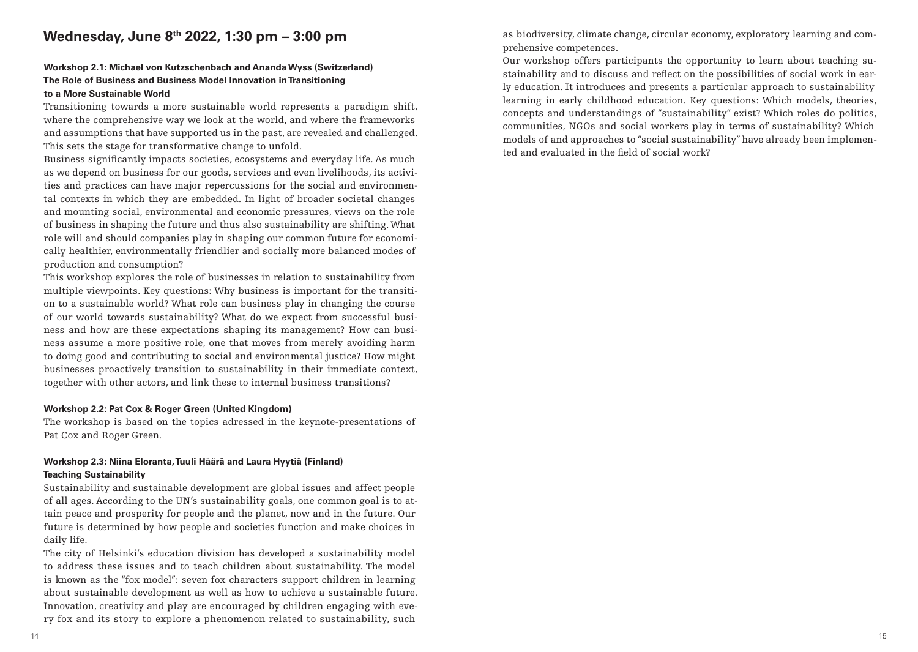## **Wednesday, June 8th 2022, 1:30 pm – 3:00 pm**

### **Workshop 2.1: Michael von Kutzschenbach and Ananda Wyss (Switzerland) The Role of Business and Business Model Innovation in Transitioning to a More Sustainable World**

Transitioning towards a more sustainable world represents a paradigm shift, where the comprehensive way we look at the world, and where the frameworks and assumptions that have supported us in the past, are revealed and challenged. This sets the stage for transformative change to unfold.

Business significantly impacts societies, ecosystems and everyday life. As much as we depend on business for our goods, services and even livelihoods, its activities and practices can have major repercussions for the social and environmental contexts in which they are embedded. In light of broader societal changes and mounting social, environmental and economic pressures, views on the role of business in shaping the future and thus also sustainability are shifting. What role will and should companies play in shaping our common future for economically healthier, environmentally friendlier and socially more balanced modes of production and consumption?

This workshop explores the role of businesses in relation to sustainability from multiple viewpoints. Key questions: Why business is important for the transition to a sustainable world? What role can business play in changing the course of our world towards sustainability? What do we expect from successful business and how are these expectations shaping its management? How can business assume a more positive role, one that moves from merely avoiding harm to doing good and contributing to social and environmental justice? How might businesses proactively transition to sustainability in their immediate context, together with other actors, and link these to internal business transitions?

#### **Workshop 2.2: Pat Cox & Roger Green (United Kingdom)**

The workshop is based on the topics adressed in the keynote-presentations of Pat Cox and Roger Green.

## **Workshop 2.3: Niina Eloranta, Tuuli Häärä and Laura Hyytiä (Finland) Teaching Sustainability**

Sustainability and sustainable development are global issues and affect people of all ages. According to the UN's sustainability goals, one common goal is to attain peace and prosperity for people and the planet, now and in the future. Our future is determined by how people and societies function and make choices in daily life.

The city of Helsinki's education division has developed a sustainability model to address these issues and to teach children about sustainability. The model is known as the "fox model": seven fox characters support children in learning about sustainable development as well as how to achieve a sustainable future. Innovation, creativity and play are encouraged by children engaging with every fox and its story to explore a phenomenon related to sustainability, such

as biodiversity, climate change, circular economy, exploratory learning and comprehensive competences.

Our workshop offers participants the opportunity to learn about teaching sustainability and to discuss and reflect on the possibilities of social work in early education. It introduces and presents a particular approach to sustainability learning in early childhood education. Key questions: Which models, theories, concepts and understandings of "sustainability" exist? Which roles do politics, communities, NGOs and social workers play in terms of sustainability? Which models of and approaches to "social sustainability" have already been implemented and evaluated in the field of social work?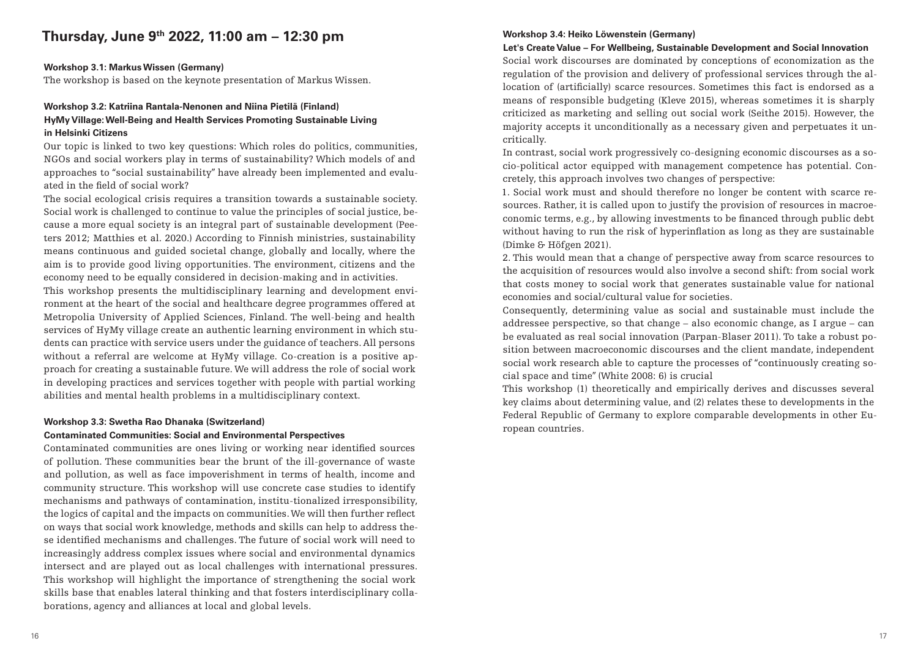# **Thursday, June 9th 2022, 11:00 am – 12:30 pm**

## **Workshop 3.1: Markus Wissen (Germany)**

The workshop is based on the keynote presentation of Markus Wissen.

## **Workshop 3.2: Katriina Rantala-Nenonen and Niina Pietilä (Finland) HyMy Village: Well-Being and Health Services Promoting Sustainable Living in Helsinki Citizens**

Our topic is linked to two key questions: Which roles do politics, communities, NGOs and social workers play in terms of sustainability? Which models of and approaches to "social sustainability" have already been implemented and evaluated in the field of social work?

The social ecological crisis requires a transition towards a sustainable society. Social work is challenged to continue to value the principles of social justice, because a more equal society is an integral part of sustainable development (Peeters 2012; Matthies et al. 2020.) According to Finnish ministries, sustainability means continuous and guided societal change, globally and locally, where the aim is to provide good living opportunities. The environment, citizens and the economy need to be equally considered in decision-making and in activities.

This workshop presents the multidisciplinary learning and development environment at the heart of the social and healthcare degree programmes offered at Metropolia University of Applied Sciences, Finland. The well-being and health services of HyMy village create an authentic learning environment in which students can practice with service users under the guidance of teachers. All persons without a referral are welcome at HyMy village. Co-creation is a positive approach for creating a sustainable future. We will address the role of social work in developing practices and services together with people with partial working abilities and mental health problems in a multidisciplinary context.

#### **Workshop 3.3: Swetha Rao Dhanaka (Switzerland)**

## **Contaminated Communities: Social and Environmental Perspectives**

Contaminated communities are ones living or working near identified sources of pollution. These communities bear the brunt of the ill-governance of waste and pollution, as well as face impoverishment in terms of health, income and community structure. This workshop will use concrete case studies to identify mechanisms and pathways of contamination, institu-tionalized irresponsibility, the logics of capital and the impacts on communities. We will then further reflect on ways that social work knowledge, methods and skills can help to address these identified mechanisms and challenges. The future of social work will need to increasingly address complex issues where social and environmental dynamics intersect and are played out as local challenges with international pressures. This workshop will highlight the importance of strengthening the social work skills base that enables lateral thinking and that fosters interdisciplinary collaborations, agency and alliances at local and global levels.

## **Workshop 3.4: Heiko Löwenstein (Germany)**

**Let's Create Value – For Wellbeing, Sustainable Development and Social Innovation** Social work discourses are dominated by conceptions of economization as the regulation of the provision and delivery of professional services through the allocation of (artificially) scarce resources. Sometimes this fact is endorsed as a means of responsible budgeting (Kleve 2015), whereas sometimes it is sharply criticized as marketing and selling out social work (Seithe 2015). However, the majority accepts it unconditionally as a necessary given and perpetuates it uncritically.

In contrast, social work progressively co-designing economic discourses as a socio-political actor equipped with management competence has potential. Concretely, this approach involves two changes of perspective:

1. Social work must and should therefore no longer be content with scarce resources. Rather, it is called upon to justify the provision of resources in macroeconomic terms, e.g., by allowing investments to be financed through public debt without having to run the risk of hyperinflation as long as they are sustainable (Dimke & Höfgen 2021).

2. This would mean that a change of perspective away from scarce resources to the acquisition of resources would also involve a second shift: from social work that costs money to social work that generates sustainable value for national economies and social/cultural value for societies.

Consequently, determining value as social and sustainable must include the addressee perspective, so that change – also economic change, as I argue – can be evaluated as real social innovation (Parpan-Blaser 2011). To take a robust position between macroeconomic discourses and the client mandate, independent social work research able to capture the processes of "continuously creating social space and time" (White 2008: 6) is crucial

This workshop (1) theoretically and empirically derives and discusses several key claims about determining value, and (2) relates these to developments in the Federal Republic of Germany to explore comparable developments in other European countries.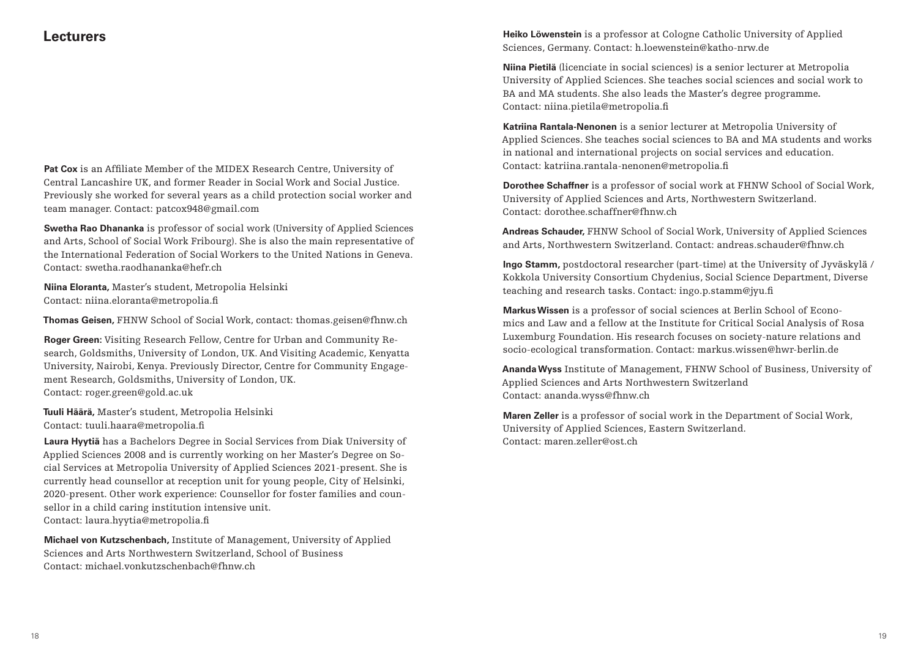## **Lecturers**

**Pat Cox** is an Affiliate Member of the MIDEX Research Centre, University of Central Lancashire UK, and former Reader in Social Work and Social Justice. Previously she worked for several years as a child protection social worker and team manager. Contact: patcox948@gmail.com

**Swetha Rao Dhananka** is professor of social work (University of Applied Sciences and Arts, School of Social Work Fribourg). She is also the main representative of the International Federation of Social Workers to the United Nations in Geneva. Contact: swetha.raodhananka@hefr.ch

**Niina Eloranta,** Master's student, Metropolia Helsinki Contact: niina.eloranta@metropolia.fi

**Thomas Geisen,** FHNW School of Social Work, contact: thomas.geisen@fhnw.ch

**Roger Green:** Visiting Research Fellow, Centre for Urban and Community Research, Goldsmiths, University of London, UK. And Visiting Academic, Kenyatta University, Nairobi, Kenya. Previously Director, Centre for Community Engagement Research, Goldsmiths, University of London, UK. Contact: roger.green@gold.ac.uk

**Tuuli Häärä,** Master's student, Metropolia Helsinki Contact: tuuli.haara@metropolia.fi

**Laura Hyytiä** has a Bachelors Degree in Social Services from Diak University of Applied Sciences 2008 and is currently working on her Master's Degree on Social Services at Metropolia University of Applied Sciences 2021-present. She is currently head counsellor at reception unit for young people, City of Helsinki, 2020-present. Other work experience: Counsellor for foster families and counsellor in a child caring institution intensive unit. Contact: laura.hyytia@metropolia.fi

**Michael von Kutzschenbach,** Institute of Management, University of Applied Sciences and Arts Northwestern Switzerland, School of Business Contact: michael.vonkutzschenbach@fhnw.ch

**Heiko Löwenstein** is a professor at Cologne Catholic University of Applied Sciences, Germany. Contact: h.loewenstein@katho-nrw.de

**Niina Pietilä** (licenciate in social sciences) is a senior lecturer at Metropolia University of Applied Sciences. She teaches social sciences and social work to BA and MA students. She also leads the Master's degree programme**.** Contact: niina.pietila@metropolia.fi

**Katriina Rantala-Nenonen** is a senior lecturer at Metropolia University of Applied Sciences. She teaches social sciences to BA and MA students and works in national and international projects on social services and education. Contact: katriina.rantala-nenonen@metropolia.fi

**Dorothee Schaffner** is a professor of social work at FHNW School of Social Work, University of Applied Sciences and Arts, Northwestern Switzerland. Contact: dorothee.schaffner@fhnw.ch

**Andreas Schauder,** FHNW School of Social Work, University of Applied Sciences and Arts, Northwestern Switzerland. Contact: andreas.schauder@fhnw.ch

**Ingo Stamm,** postdoctoral researcher (part-time) at the University of Jyväskylä / Kokkola University Consortium Chydenius, Social Science Department, Diverse teaching and research tasks. Contact: ingo.p.stamm@jyu.fi

**Markus Wissen** is a professor of social sciences at Berlin School of Economics and Law and a fellow at the Institute for Critical Social Analysis of Rosa Luxemburg Foundation. His research focuses on society-nature relations and socio-ecological transformation. Contact: markus.wissen@hwr-berlin.de

**Ananda Wyss** Institute of Management, FHNW School of Business, University of Applied Sciences and Arts Northwestern Switzerland Contact: ananda.wyss@fhnw.ch

**Maren Zeller** is a professor of social work in the Department of Social Work, University of Applied Sciences, Eastern Switzerland. Contact: maren.zeller@ost.ch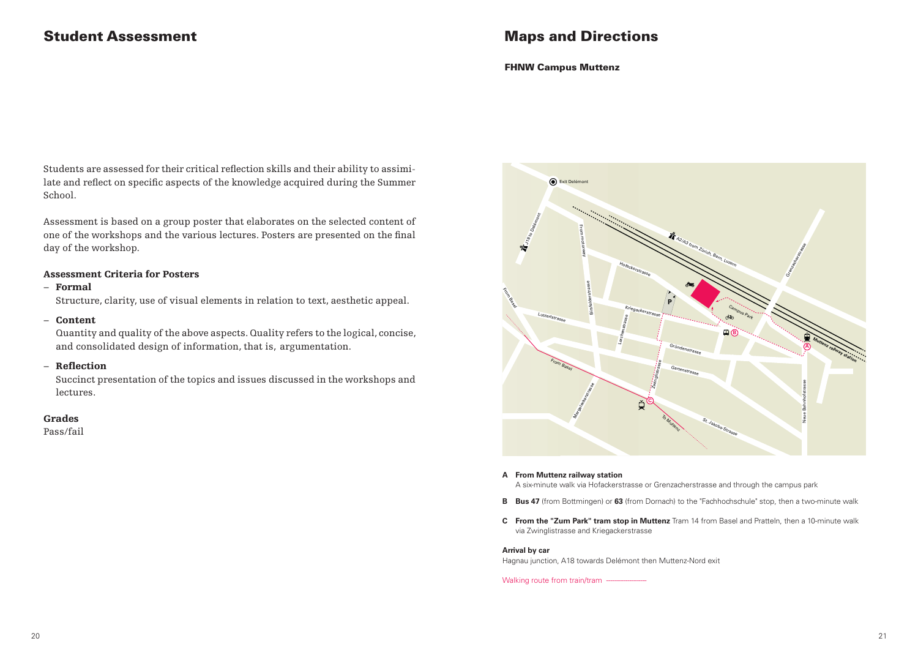## Student Assessment

## Maps and Directions

#### FHNW Campus Muttenz

Students are assessed for their critical reflection skills and their ability to assimilate and reflect on specific aspects of the knowledge acquired during the Summer School.

Assessment is based on a group poster that elaborates on the selected content of one of the workshops and the various lectures. Posters are presented on the final day of the workshop.

### Assessment Criteria for Posters

### − Formal

Structure, clarity, use of visual elements in relation to text, aesthetic appeal.

− Content

**Concerts**<br>Quantity and quality of the above aspects. Quality refers to the logical, concise, and consolidated design of information, that is, argumentation.

#### − Reflection

Succinct presentation of the topics and issues discussed in the workshops and lectures. 10-minute or so walk via Zwinglistrasse

## Grades

Pass/fail



- **A From Muttenz railway station** A six-minute walk via Hofackerstrasse or Grenzacherstrasse and through the campus park
- **B Bus 47** (from Bottmingen) or **63** (from Dornach) to the "Fachhochschule" stop, then a two-minute walk
- **C From the "Zum Park" tram stop in Muttenz** Tram 14 from Basel and Pratteln, then a 10-minute walk via Zwinglistrasse and Kriegackerstrasse

#### **Arrival by car**

Hagnau junction, A18 towards Delémont then Muttenz-Nord exit

Walking route from train/tram -----